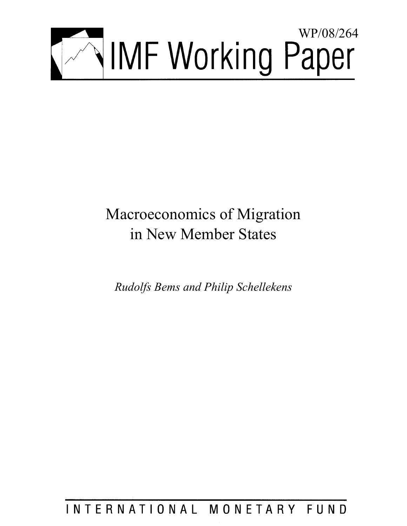

# Macroeconomics of Migration in New Member States

*Rudolfs Bems and Philip Schellekens* 

## INTERNATIONAL MONETARY FUND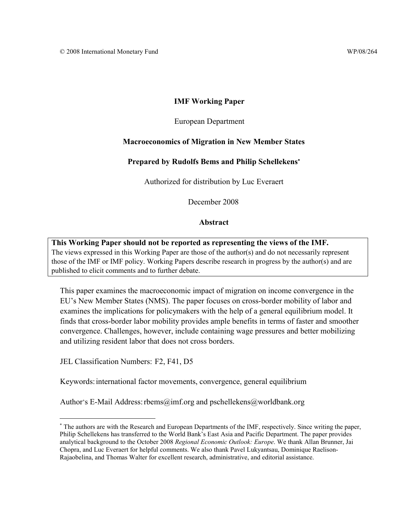#### **IMF Working Paper**

#### European Department

#### **Macroeconomics of Migration in New Member States**

#### **Prepared by Rudolfs Bems and Philip Schellekens**<sup>∗</sup>

Authorized for distribution by Luc Everaert

December 2008

#### **Abstract**

**This Working Paper should not be reported as representing the views of the IMF.** The views expressed in this Working Paper are those of the author(s) and do not necessarily represent those of the IMF or IMF policy. Working Papers describe research in progress by the author(s) and are published to elicit comments and to further debate.

This paper examines the macroeconomic impact of migration on income convergence in the EU's New Member States (NMS). The paper focuses on cross-border mobility of labor and examines the implications for policymakers with the help of a general equilibrium model. It finds that cross-border labor mobility provides ample benefits in terms of faster and smoother convergence. Challenges, however, include containing wage pressures and better mobilizing and utilizing resident labor that does not cross borders.

JEL Classification Numbers: F2, F41, D5

<u>.</u>

Keywords: international factor movements, convergence, general equilibrium

Author's E-Mail Address: rbems@imf.org and pschellekens@worldbank.org

<sup>∗</sup> The authors are with the Research and European Departments of the IMF, respectively. Since writing the paper, Philip Schellekens has transferred to the World Bank's East Asia and Pacific Department. The paper provides analytical background to the October 2008 *Regional Economic Outlook: Europe*. We thank Allan Brunner, Jai Chopra, and Luc Everaert for helpful comments. We also thank Pavel Lukyantsau, Dominique Raelison-Rajaobelina, and Thomas Walter for excellent research, administrative, and editorial assistance.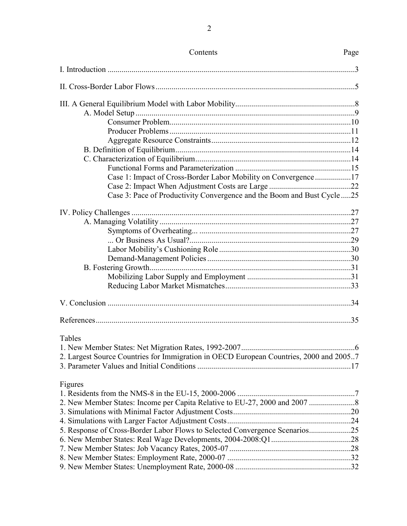| Contents                                                                               | Page |
|----------------------------------------------------------------------------------------|------|
|                                                                                        |      |
|                                                                                        |      |
|                                                                                        |      |
|                                                                                        |      |
|                                                                                        |      |
|                                                                                        |      |
|                                                                                        |      |
|                                                                                        |      |
|                                                                                        |      |
|                                                                                        |      |
| Case 1: Impact of Cross-Border Labor Mobility on Convergence17                         |      |
|                                                                                        |      |
| Case 3: Pace of Productivity Convergence and the Boom and Bust Cycle 25                |      |
|                                                                                        |      |
|                                                                                        |      |
|                                                                                        |      |
|                                                                                        |      |
|                                                                                        |      |
|                                                                                        |      |
|                                                                                        |      |
|                                                                                        |      |
|                                                                                        |      |
|                                                                                        |      |
|                                                                                        |      |
| Tables                                                                                 |      |
|                                                                                        |      |
| 2. Largest Source Countries for Immigration in OECD European Countries, 2000 and 20057 |      |
| Figures                                                                                |      |
|                                                                                        |      |
|                                                                                        |      |
|                                                                                        |      |
|                                                                                        |      |
| 5. Response of Cross-Border Labor Flows to Selected Convergence Scenarios25            |      |
|                                                                                        |      |
|                                                                                        |      |
|                                                                                        |      |
|                                                                                        |      |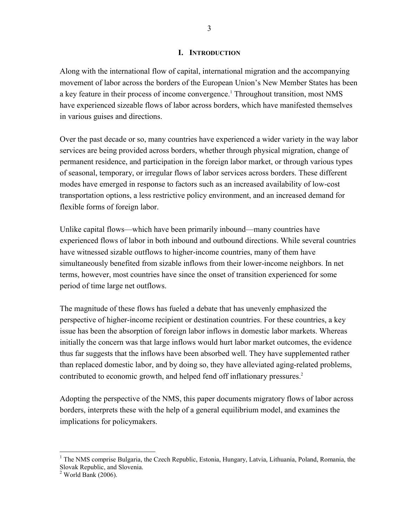#### **I. INTRODUCTION**

Along with the international flow of capital, international migration and the accompanying movement of labor across the borders of the European Union's New Member States has been a key feature in their process of income convergence.<sup>1</sup> Throughout transition, most NMS have experienced sizeable flows of labor across borders, which have manifested themselves in various guises and directions.

Over the past decade or so, many countries have experienced a wider variety in the way labor services are being provided across borders, whether through physical migration, change of permanent residence, and participation in the foreign labor market, or through various types of seasonal, temporary, or irregular flows of labor services across borders. These different modes have emerged in response to factors such as an increased availability of low-cost transportation options, a less restrictive policy environment, and an increased demand for flexible forms of foreign labor.

Unlike capital flows—which have been primarily inbound—many countries have experienced flows of labor in both inbound and outbound directions. While several countries have witnessed sizable outflows to higher-income countries, many of them have simultaneously benefited from sizable inflows from their lower-income neighbors. In net terms, however, most countries have since the onset of transition experienced for some period of time large net outflows.

The magnitude of these flows has fueled a debate that has unevenly emphasized the perspective of higher-income recipient or destination countries. For these countries, a key issue has been the absorption of foreign labor inflows in domestic labor markets. Whereas initially the concern was that large inflows would hurt labor market outcomes, the evidence thus far suggests that the inflows have been absorbed well. They have supplemented rather than replaced domestic labor, and by doing so, they have alleviated aging-related problems, contributed to economic growth, and helped fend off inflationary pressures.<sup>2</sup>

Adopting the perspective of the NMS, this paper documents migratory flows of labor across borders, interprets these with the help of a general equilibrium model, and examines the implications for policymakers.

 $\overline{a}$ 

<sup>&</sup>lt;sup>1</sup> The NMS comprise Bulgaria, the Czech Republic, Estonia, Hungary, Latvia, Lithuania, Poland, Romania, the Slovak Republic, and Slovenia. 2 World Bank (2006).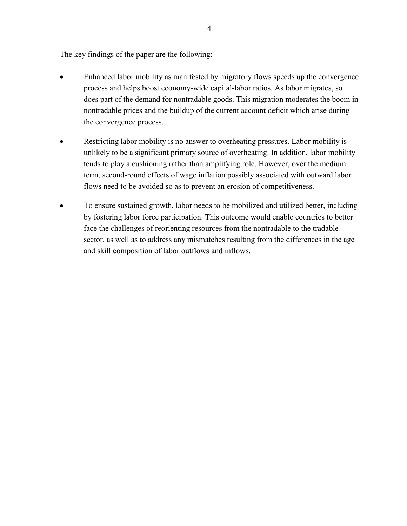The key findings of the paper are the following:

- Enhanced labor mobility as manifested by migratory flows speeds up the convergence process and helps boost economy-wide capital-labor ratios. As labor migrates, so does part of the demand for nontradable goods. This migration moderates the boom in nontradable prices and the buildup of the current account deficit which arise during the convergence process.
- Restricting labor mobility is no answer to overheating pressures. Labor mobility is unlikely to be a significant primary source of overheating. In addition, labor mobility tends to play a cushioning rather than amplifying role. However, over the medium term, second-round effects of wage inflation possibly associated with outward labor flows need to be avoided so as to prevent an erosion of competitiveness.
- To ensure sustained growth, labor needs to be mobilized and utilized better, including by fostering labor force participation. This outcome would enable countries to better face the challenges of reorienting resources from the nontradable to the tradable sector, as well as to address any mismatches resulting from the differences in the age and skill composition of labor outflows and inflows.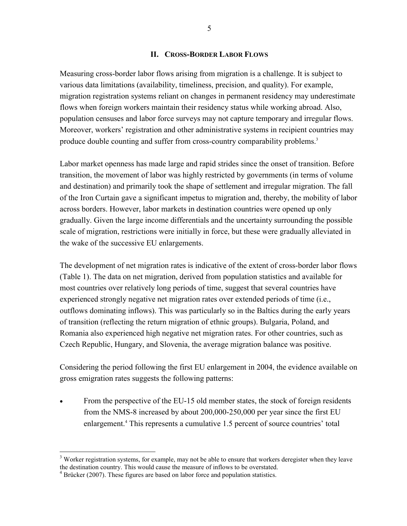#### **II. CROSS-BORDER LABOR FLOWS**

Measuring cross-border labor flows arising from migration is a challenge. It is subject to various data limitations (availability, timeliness, precision, and quality). For example, migration registration systems reliant on changes in permanent residency may underestimate flows when foreign workers maintain their residency status while working abroad. Also, population censuses and labor force surveys may not capture temporary and irregular flows. Moreover, workers' registration and other administrative systems in recipient countries may produce double counting and suffer from cross-country comparability problems.<sup>3</sup>

Labor market openness has made large and rapid strides since the onset of transition. Before transition, the movement of labor was highly restricted by governments (in terms of volume and destination) and primarily took the shape of settlement and irregular migration. The fall of the Iron Curtain gave a significant impetus to migration and, thereby, the mobility of labor across borders. However, labor markets in destination countries were opened up only gradually. Given the large income differentials and the uncertainty surrounding the possible scale of migration, restrictions were initially in force, but these were gradually alleviated in the wake of the successive EU enlargements.

The development of net migration rates is indicative of the extent of cross-border labor flows (Table 1). The data on net migration, derived from population statistics and available for most countries over relatively long periods of time, suggest that several countries have experienced strongly negative net migration rates over extended periods of time (i.e., outflows dominating inflows). This was particularly so in the Baltics during the early years of transition (reflecting the return migration of ethnic groups). Bulgaria, Poland, and Romania also experienced high negative net migration rates. For other countries, such as Czech Republic, Hungary, and Slovenia, the average migration balance was positive.

Considering the period following the first EU enlargement in 2004, the evidence available on gross emigration rates suggests the following patterns:

From the perspective of the EU-15 old member states, the stock of foreign residents from the NMS-8 increased by about 200,000-250,000 per year since the first EU enlargement.<sup>4</sup> This represents a cumulative 1.5 percent of source countries' total

 $\overline{a}$ 

 $3$  Worker registration systems, for example, may not be able to ensure that workers deregister when they leave the destination country. This would cause the measure of inflows to be overstated.

<sup>&</sup>lt;sup>4</sup> Brücker (2007). These figures are based on labor force and population statistics.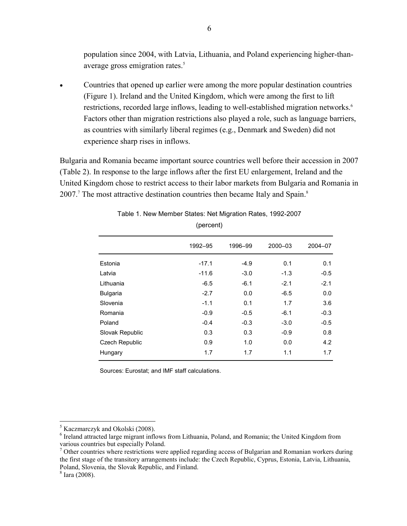population since 2004, with Latvia, Lithuania, and Poland experiencing higher-thanaverage gross emigration rates.<sup>5</sup>

• Countries that opened up earlier were among the more popular destination countries (Figure 1). Ireland and the United Kingdom, which were among the first to lift restrictions, recorded large inflows, leading to well-established migration networks.<sup>6</sup> Factors other than migration restrictions also played a role, such as language barriers, as countries with similarly liberal regimes (e.g., Denmark and Sweden) did not experience sharp rises in inflows.

Bulgaria and Romania became important source countries well before their accession in 2007 (Table 2). In response to the large inflows after the first EU enlargement, Ireland and the United Kingdom chose to restrict access to their labor markets from Bulgaria and Romania in 2007.<sup>7</sup> The most attractive destination countries then became Italy and Spain.<sup>8</sup>

|                 | 1992-95 | 1996-99 | 2000-03 | 2004-07 |
|-----------------|---------|---------|---------|---------|
| Estonia         | $-17.1$ | $-4.9$  | 0.1     | 0.1     |
| Latvia          | $-11.6$ | $-3.0$  | $-1.3$  | $-0.5$  |
| Lithuania       | $-6.5$  | $-6.1$  | $-2.1$  | $-2.1$  |
| <b>Bulgaria</b> | $-2.7$  | 0.0     | $-6.5$  | 0.0     |
| Slovenia        | $-1.1$  | 0.1     | 1.7     | 3.6     |
| Romania         | $-0.9$  | $-0.5$  | $-6.1$  | $-0.3$  |
| Poland          | $-0.4$  | $-0.3$  | $-3.0$  | $-0.5$  |
| Slovak Republic | 0.3     | 0.3     | $-0.9$  | 0.8     |
| Czech Republic  | 0.9     | 1.0     | 0.0     | 4.2     |
| Hungary         | 1.7     | 1.7     | 1.1     | 1.7     |
|                 |         |         |         |         |

Table 1. New Member States: Net Migration Rates, 1992-2007

(percent)

Sources: Eurostat; and IMF staff calculations.

 $\overline{a}$ 

<sup>&</sup>lt;sup>5</sup> Kaczmarczyk and Okolski (2008).

<sup>&</sup>lt;sup>6</sup> Ireland attracted large migrant inflows from Lithuania, Poland, and Romania; the United Kingdom from various countries but especially Poland.

<sup>&</sup>lt;sup>7</sup> Other countries where restrictions were applied regarding access of Bulgarian and Romanian workers during the first stage of the transitory arrangements include: the Czech Republic, Cyprus, Estonia, Latvia, Lithuania, Poland, Slovenia, the Slovak Republic, and Finland.

<sup>8</sup> Iara (2008).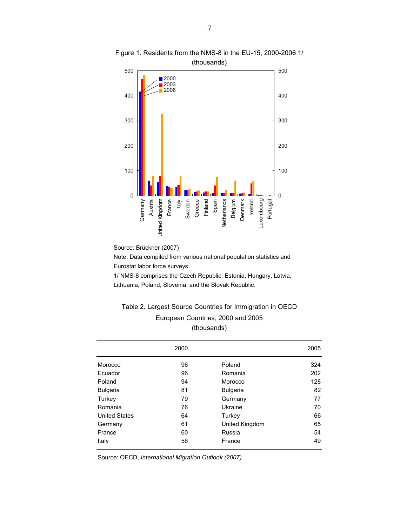

Figure 1. Residents from the NMS-8 in the EU-15, 2000-2006 1/ (thousands)

Source: Brückner (2007)

Note: Data compiled from various national population statistics and Eurostat labor force surveys.

1/ NMS-8 comprises the Czech Republic, Estonia, Hungary, Latvia, Lithuania, Poland, Slovenia, and the Slovak Republic.

#### Table 2. Largest Source Countries for Immigration in OECD European Countries, 2000 and 2005 (thousands)

|                      | 2000 |                 | 2005 |
|----------------------|------|-----------------|------|
| Morocco              | 96   | Poland          | 324  |
| Ecuador              | 96   | Romania         | 202  |
| Poland               | 94   | Morocco         | 128  |
| <b>Bulgaria</b>      | 81   | <b>Bulgaria</b> | 82   |
| Turkey               | 79   | Germany         | 77   |
| Romania              | 76   | Ukraine         | 70   |
| <b>United States</b> | 64   | Turkey          | 66   |
| Germany              | 61   | United Kingdom  | 65   |
| France               | 60   | Russia          | 54   |
| Italy                | 56   | France          | 49   |

Source: OECD, *International Migration Outlook (2007).*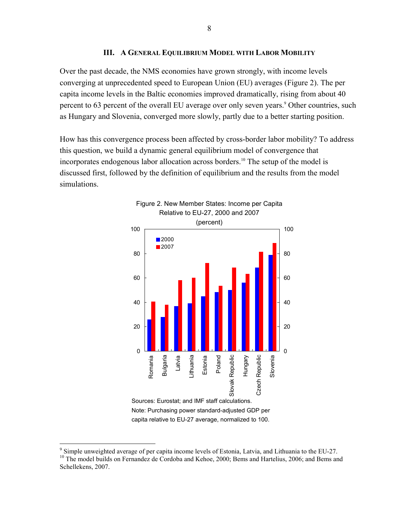#### **III. A GENERAL EQUILIBRIUM MODEL WITH LABOR MOBILITY**

Over the past decade, the NMS economies have grown strongly, with income levels converging at unprecedented speed to European Union (EU) averages (Figure 2). The per capita income levels in the Baltic economies improved dramatically, rising from about 40 percent to 63 percent of the overall EU average over only seven years.<sup>9</sup> Other countries, such as Hungary and Slovenia, converged more slowly, partly due to a better starting position.

How has this convergence process been affected by cross-border labor mobility? To address this question, we build a dynamic general equilibrium model of convergence that incorporates endogenous labor allocation across borders.<sup>10</sup> The setup of the model is discussed first, followed by the definition of equilibrium and the results from the model simulations.



capita relative to EU-27 average, normalized to 100.

 $\overline{a}$ 

<sup>&</sup>lt;sup>9</sup> Simple unweighted average of per capita income levels of Estonia, Latvia, and Lithuania to the EU-27. <sup>10</sup> The model builds on Fernandez de Cordoba and Kehoe, 2000; Bems and Hartelius, 2006; and Bems and <sup>10</sup> Schellekens, 2007.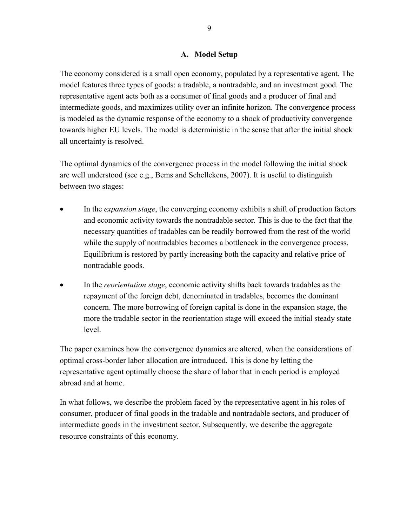#### **A. Model Setup**

The economy considered is a small open economy, populated by a representative agent. The model features three types of goods: a tradable, a nontradable, and an investment good. The representative agent acts both as a consumer of final goods and a producer of final and intermediate goods, and maximizes utility over an infinite horizon. The convergence process is modeled as the dynamic response of the economy to a shock of productivity convergence towards higher EU levels. The model is deterministic in the sense that after the initial shock all uncertainty is resolved.

The optimal dynamics of the convergence process in the model following the initial shock are well understood (see e.g., Bems and Schellekens, 2007). It is useful to distinguish between two stages:

- In the *expansion stage*, the converging economy exhibits a shift of production factors and economic activity towards the nontradable sector. This is due to the fact that the necessary quantities of tradables can be readily borrowed from the rest of the world while the supply of nontradables becomes a bottleneck in the convergence process. Equilibrium is restored by partly increasing both the capacity and relative price of nontradable goods.
- In the *reorientation stage*, economic activity shifts back towards tradables as the repayment of the foreign debt, denominated in tradables, becomes the dominant concern. The more borrowing of foreign capital is done in the expansion stage, the more the tradable sector in the reorientation stage will exceed the initial steady state level.

The paper examines how the convergence dynamics are altered, when the considerations of optimal cross-border labor allocation are introduced. This is done by letting the representative agent optimally choose the share of labor that in each period is employed abroad and at home.

In what follows, we describe the problem faced by the representative agent in his roles of consumer, producer of final goods in the tradable and nontradable sectors, and producer of intermediate goods in the investment sector. Subsequently, we describe the aggregate resource constraints of this economy.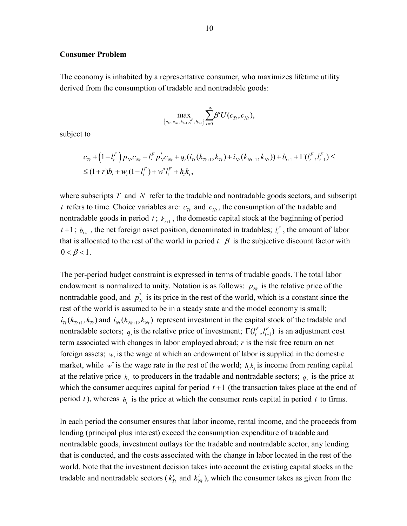#### **Consumer Problem**

The economy is inhabited by a representative consumer, who maximizes lifetime utility derived from the consumption of tradable and nontradable goods:

$$
\max_{\left\{c_{7t}, c_{Nt}, k_{t+1}, l_t^F, b_{t+1}\right\}} \sum_{t=0}^{+\infty} \beta^t U(c_{7t}, c_{Nt}),
$$

subject to

$$
c_{Tt} + (1 - l_t^F) p_{Ni} c_{Ni} + l_t^F p_{N}^* c_{Ni} + q_t (i_{Tt} (k_{Tt+1}, k_{Tt}) + i_{Ni} (k_{Ni+1}, k_{Ni})) + b_{t+1} + \Gamma(l_t^F, l_{t-1}^F) \le
$$
  

$$
\leq (1+r)b_t + w_t (1 - l_t^F) + w^* l_t^F + h_t k_t,
$$

where subscripts *T* and *N* refer to the tradable and nontradable goods sectors, and subscript *t* refers to time. Choice variables are:  $c_{\tau t}$  and  $c_{\tau t}$ , the consumption of the tradable and nontradable goods in period  $t$ ;  $k_{t+1}$ , the domestic capital stock at the beginning of period  $t+1$ ;  $b_{t+1}$ , the net foreign asset position, denominated in tradables;  $l_t^F$ , the amount of labor that is allocated to the rest of the world in period *t*.  $\beta$  is the subjective discount factor with  $0 < \beta < 1$ .

The per-period budget constraint is expressed in terms of tradable goods. The total labor endowment is normalized to unity. Notation is as follows:  $p_{N_t}$  is the relative price of the nontradable good, and  $p_N^*$  is its price in the rest of the world, which is a constant since the rest of the world is assumed to be in a steady state and the model economy is small;  $i_{r_t}(k_{r_{t+1}}, k_{r_t})$  and  $i_{N_t}(k_{N_{t+1}}, k_{N_t})$  represent investment in the capital stock of the tradable and nontradable sectors;  $q_i$  is the relative price of investment;  $\Gamma(l_i^F, l_{i-1}^F)$  is an adjustment cost term associated with changes in labor employed abroad; *r* is the risk free return on net foreign assets;  $w<sub>i</sub>$  is the wage at which an endowment of labor is supplied in the domestic market, while  $w^*$  is the wage rate in the rest of the world;  $h, k$ , is income from renting capital at the relative price  $h_t$  to producers in the tradable and nontradable sectors;  $q_t$  is the price at which the consumer acquires capital for period  $t+1$  (the transaction takes place at the end of period *t*), whereas  $h_t$  is the price at which the consumer rents capital in period *t* to firms.

In each period the consumer ensures that labor income, rental income, and the proceeds from lending (principal plus interest) exceed the consumption expenditure of tradable and nontradable goods, investment outlays for the tradable and nontradable sector, any lending that is conducted, and the costs associated with the change in labor located in the rest of the world. Note that the investment decision takes into account the existing capital stocks in the tradable and nontradable sectors ( $k_T^i$  and  $k_N^i$ ), which the consumer takes as given from the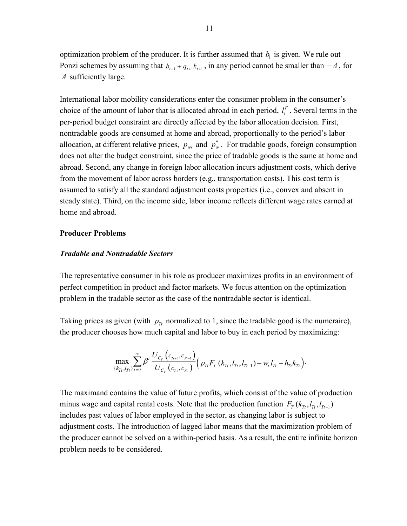optimization problem of the producer. It is further assumed that  $b<sub>i</sub>$  is given. We rule out Ponzi schemes by assuming that  $b_{t+1} + q_{t+1}k_{t+1}$ , in any period cannot be smaller than  $-A$ , for *A* sufficiently large.

International labor mobility considerations enter the consumer problem in the consumer's choice of the amount of labor that is allocated abroad in each period,  $l_t^F$ . Several terms in the per-period budget constraint are directly affected by the labor allocation decision. First, nontradable goods are consumed at home and abroad, proportionally to the period's labor allocation, at different relative prices,  $p_{Nt}$  and  $p_N^*$ . For tradable goods, foreign consumption does not alter the budget constraint, since the price of tradable goods is the same at home and abroad. Second, any change in foreign labor allocation incurs adjustment costs, which derive from the movement of labor across borders (e.g., transportation costs). This cost term is assumed to satisfy all the standard adjustment costs properties (i.e., convex and absent in steady state). Third, on the income side, labor income reflects different wage rates earned at home and abroad.

#### **Producer Problems**

#### *Tradable and Nontradable Sectors*

The representative consumer in his role as producer maximizes profits in an environment of perfect competition in product and factor markets. We focus attention on the optimization problem in the tradable sector as the case of the nontradable sector is identical.

Taking prices as given (with  $p_{\tau t}$  normalized to 1, since the tradable good is the numeraire), the producer chooses how much capital and labor to buy in each period by maximizing:

$$
\max_{\{k_{Tt},l_{Tt}\}_{t=0}} \sum_{t=0}^{\infty} \beta^{t} \frac{U_{C_{T}}(c_{Tt+1},c_{Nt+1})}{U_{C_{T}}(c_{Tt+1},c_{Nt})} \Big(p_{Tt} F_{T}(k_{Tt},l_{Tt},l_{Tt-1}) - w_{t} l_{Tt} - h_{Tt} k_{Tt}\Big).
$$

The maximand contains the value of future profits, which consist of the value of production minus wage and capital rental costs. Note that the production function  $F_T(k_{T_t}, l_{T_t}, l_{T_{t-1}})$ includes past values of labor employed in the sector, as changing labor is subject to adjustment costs. The introduction of lagged labor means that the maximization problem of the producer cannot be solved on a within-period basis. As a result, the entire infinite horizon problem needs to be considered.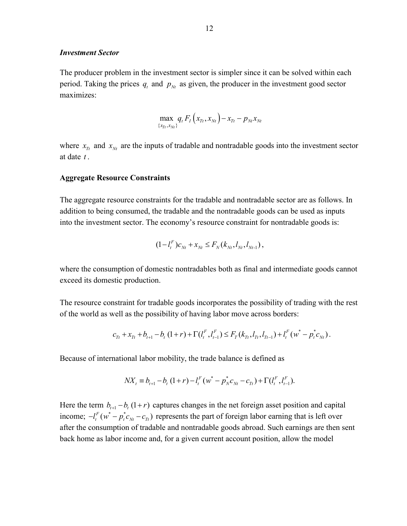#### *Investment Sector*

The producer problem in the investment sector is simpler since it can be solved within each period. Taking the prices  $q_t$  and  $p_{Nt}$  as given, the producer in the investment good sector maximizes:

$$
\max_{\{x_{Tt},x_{Nt}\}} q_t F_I(x_{Tt},x_{Nt}) - x_{Tt} - p_{Nt}x_{Nt}
$$

where  $x_{\tau_i}$  and  $x_{\tau_i}$  are the inputs of tradable and nontradable goods into the investment sector at date *t* .

#### **Aggregate Resource Constraints**

The aggregate resource constraints for the tradable and nontradable sector are as follows. In addition to being consumed, the tradable and the nontradable goods can be used as inputs into the investment sector. The economy's resource constraint for nontradable goods is:

$$
(1 - l_t^F) c_{Nt} + x_{Nt} \leq F_N(k_{Nt}, l_{Nt}, l_{Nt-1}),
$$

where the consumption of domestic nontradables both as final and intermediate goods cannot exceed its domestic production.

The resource constraint for tradable goods incorporates the possibility of trading with the rest of the world as well as the possibility of having labor move across borders:

$$
c_{T_t} + x_{T_t} + b_{t+1} - b_t (1+r) + \Gamma(l_t^F, l_{t-1}^F) \leq F_T(k_{T_t}, l_{T_t}, l_{T_{t-1}}) + l_t^F(w^* - p_t^* c_{N_t}).
$$

Because of international labor mobility, the trade balance is defined as

$$
NX_{t} \equiv b_{t+1} - b_{t} (1+r) - l_{t}^{F} (w^{*} - p_{N}^{*} c_{Nt} - c_{Tt}) + \Gamma (l_{t}^{F}, l_{t-1}^{F}).
$$

Here the term  $b_{t+1} - b_t (1+r)$  captures changes in the net foreign asset position and capital income;  $-l_t^F(w^* - p_t^*c_{Nt} - c_T)$  represents the part of foreign labor earning that is left over after the consumption of tradable and nontradable goods abroad. Such earnings are then sent back home as labor income and, for a given current account position, allow the model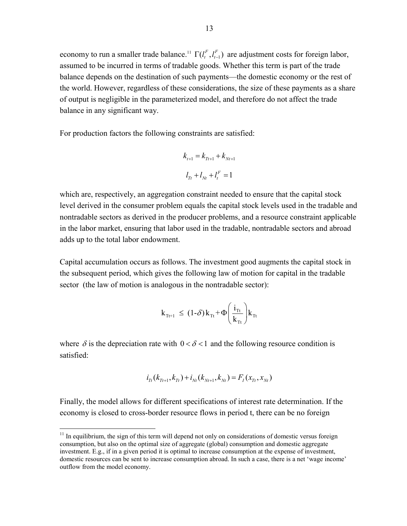economy to run a smaller trade balance.<sup>11</sup>  $\Gamma(l_i^F, l_{i-1}^F)$  are adjustment costs for foreign labor, assumed to be incurred in terms of tradable goods. Whether this term is part of the trade balance depends on the destination of such payments—the domestic economy or the rest of the world. However, regardless of these considerations, the size of these payments as a share of output is negligible in the parameterized model, and therefore do not affect the trade balance in any significant way.

For production factors the following constraints are satisfied:

$$
k_{t+1} = k_{Tt+1} + k_{Nt+1}
$$

$$
l_{Tt} + l_{Nt} + l_t^F = 1
$$

which are, respectively, an aggregation constraint needed to ensure that the capital stock level derived in the consumer problem equals the capital stock levels used in the tradable and nontradable sectors as derived in the producer problems, and a resource constraint applicable in the labor market, ensuring that labor used in the tradable, nontradable sectors and abroad adds up to the total labor endowment.

Capital accumulation occurs as follows. The investment good augments the capital stock in the subsequent period, which gives the following law of motion for capital in the tradable sector (the law of motion is analogous in the nontradable sector):

$$
k_{\text{Tr}+1} \leq (1-\delta)k_{\text{Tr}} + \Phi\left(\frac{i_{\text{Tr}}}{k_{\text{Tr}}}\right)k_{\text{Tr}}
$$

where  $\delta$  is the depreciation rate with  $0 < \delta < 1$  and the following resource condition is satisfied:

$$
i_{T_t}(k_{T_{t+1}},k_{T_t})+i_{N_t}(k_{N_{t+1}},k_{N_t})=F_{I}(x_{T_t},x_{N_t})
$$

Finally, the model allows for different specifications of interest rate determination. If the economy is closed to cross-border resource flows in period t, there can be no foreign

1

 $11$  In equilibrium, the sign of this term will depend not only on considerations of domestic versus foreign consumption, but also on the optimal size of aggregate (global) consumption and domestic aggregate investment. E.g., if in a given period it is optimal to increase consumption at the expense of investment, domestic resources can be sent to increase consumption abroad. In such a case, there is a net 'wage income' outflow from the model economy.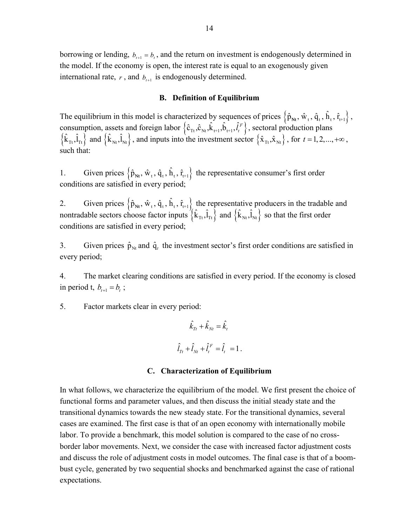borrowing or lending,  $b_{t+1} = b_t$ , and the return on investment is endogenously determined in the model. If the economy is open, the interest rate is equal to an exogenously given international rate,  $r$ , and  $b_{t+1}$  is endogenously determined.

#### **B. Definition of Equilibrium**

The equilibrium in this model is characterized by sequences of prices  $\{\hat{p}_{Nt}, \hat{w}_t, \hat{q}_t, \hat{h}_t, \hat{r}_{t+1}\},\$ consumption, assets and foreign labor  $\{\hat{c}_{\text{rt}}, \hat{c}_{\text{Nt}}, \hat{k}_{t+1}, \hat{b}_{t+1}, \hat{l}_t^F\}$ , sectoral production plans  $\{\hat{k}_{\text{Tr}}, \hat{l}_{\text{Tr}}\}$  and  $\{\hat{k}_{\text{Nt}}, \hat{l}_{\text{Nt}}\}$ , and inputs into the investment sector  $\{\hat{x}_{\text{Tr}}, \hat{x}_{\text{Nt}}\}$ , for  $t = 1, 2, ..., +\infty$ , such that:

1. Given prices  $\left\{\hat{p}_{Nt}, \hat{w}_t, \hat{q}_t, \hat{h}_t, \hat{r}_{t+1}\right\}$  the representative consumer's first order conditions are satisfied in every period;

2. Given prices  $\{\hat{p}_{Nt}, \hat{w}_t, \hat{q}_t, \hat{h}_t, \hat{r}_{t+1}\}\)$  the representative producers in the tradable and nontradable sectors choose factor inputs  $\{ \hat{k}_{\text{rt}}, \hat{l}_{\text{rt}} \}$  and  $\{ \hat{k}_{\text{nt}}, \hat{l}_{\text{nt}} \}$  so that the first order conditions are satisfied in every period;

3. Given prices  $\hat{p}_{Nt}$  and  $\hat{q}_t$  the investment sector's first order conditions are satisfied in every period;

4. The market clearing conditions are satisfied in every period. If the economy is closed in period t,  $b_{t+1} = b_t$ ;

5. Factor markets clear in every period:

$$
\hat{k}_{T_t} + \hat{k}_{N_t} = \hat{k}_t
$$
  

$$
\hat{l}_{T_t} + \hat{l}_{N_t} + \hat{l}_t^F = \hat{l}_t = 1.
$$

#### **C. Characterization of Equilibrium**

In what follows, we characterize the equilibrium of the model. We first present the choice of functional forms and parameter values, and then discuss the initial steady state and the transitional dynamics towards the new steady state. For the transitional dynamics, several cases are examined. The first case is that of an open economy with internationally mobile labor. To provide a benchmark, this model solution is compared to the case of no crossborder labor movements. Next, we consider the case with increased factor adjustment costs and discuss the role of adjustment costs in model outcomes. The final case is that of a boombust cycle, generated by two sequential shocks and benchmarked against the case of rational expectations.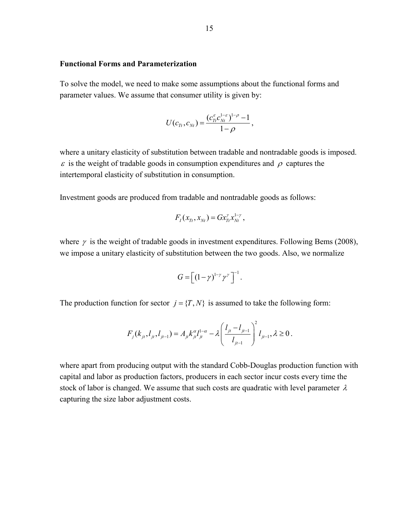#### **Functional Forms and Parameterization**

To solve the model, we need to make some assumptions about the functional forms and parameter values. We assume that consumer utility is given by:

$$
U(c_{T_t}, c_{N_t}) = \frac{(c_{T_t}^{\varepsilon} c_{N_t}^{1-\varepsilon})^{1-\rho} - 1}{1-\rho},
$$

where a unitary elasticity of substitution between tradable and nontradable goods is imposed.  $\varepsilon$  is the weight of tradable goods in consumption expenditures and  $\rho$  captures the intertemporal elasticity of substitution in consumption.

Investment goods are produced from tradable and nontradable goods as follows:

$$
F_{I}(x_{Tt}, x_{Nt}) = Gx_{Tt}^{\gamma}x_{Nt}^{1-\gamma},
$$

where  $\gamma$  is the weight of tradable goods in investment expenditures. Following Bems (2008), we impose a unitary elasticity of substitution between the two goods. Also, we normalize

$$
G = \left[ \left( 1 - \gamma \right)^{1 - \gamma} \gamma^{\gamma} \right]^{-1}.
$$

The production function for sector  $j = \{T, N\}$  is assumed to take the following form:

$$
F_j(k_{jt}, l_{jt}, l_{jt-1}) = A_{jt} k_{jt}^{\alpha} l_{jt}^{1-\alpha} - \lambda \left( \frac{l_{jt} - l_{jt-1}}{l_{jt-1}} \right)^2 l_{jt-1}, \lambda \ge 0.
$$

where apart from producing output with the standard Cobb-Douglas production function with capital and labor as production factors, producers in each sector incur costs every time the stock of labor is changed. We assume that such costs are quadratic with level parameter  $\lambda$ capturing the size labor adjustment costs.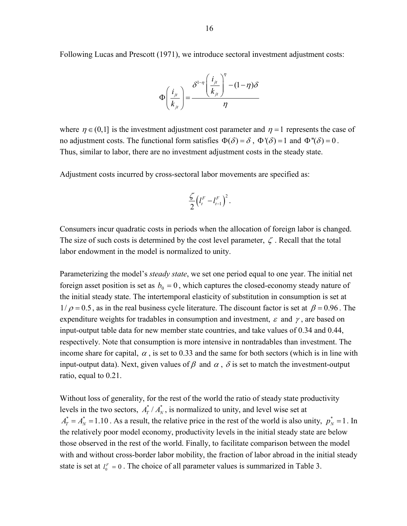Following Lucas and Prescott (1971), we introduce sectoral investment adjustment costs:



where  $\eta \in (0,1]$  is the investment adjustment cost parameter and  $\eta =1$  represents the case of no adjustment costs. The functional form satisfies  $\Phi(\delta) = \delta$ ,  $\Phi'(\delta) = 1$  and  $\Phi''(\delta) = 0$ . Thus, similar to labor, there are no investment adjustment costs in the steady state.

Adjustment costs incurred by cross-sectoral labor movements are specified as:

$$
\frac{\zeta}{2}\left(l_t^F - l_{t-1}^F\right)^2.
$$

Consumers incur quadratic costs in periods when the allocation of foreign labor is changed. The size of such costs is determined by the cost level parameter,  $\zeta$ . Recall that the total labor endowment in the model is normalized to unity.

Parameterizing the model's *steady state*, we set one period equal to one year. The initial net foreign asset position is set as  $b_0 = 0$ , which captures the closed-economy steady nature of the initial steady state. The intertemporal elasticity of substitution in consumption is set at  $1/\rho = 0.5$ , as in the real business cycle literature. The discount factor is set at  $\beta = 0.96$ . The expenditure weights for tradables in consumption and investment,  $\varepsilon$  and  $\gamma$ , are based on input-output table data for new member state countries, and take values of 0.34 and 0.44, respectively. Note that consumption is more intensive in nontradables than investment. The income share for capital,  $\alpha$ , is set to 0.33 and the same for both sectors (which is in line with input-output data). Next, given values of  $\beta$  and  $\alpha$ ,  $\delta$  is set to match the investment-output ratio, equal to 0.21.

Without loss of generality, for the rest of the world the ratio of steady state productivity levels in the two sectors,  $A_T^* / A_N^*$ , is normalized to unity, and level wise set at  $A_T^* = A_N^* = 1.10$ . As a result, the relative price in the rest of the world is also unity,  $p_N^* = 1$ . In the relatively poor model economy, productivity levels in the initial steady state are below those observed in the rest of the world. Finally, to facilitate comparison between the model with and without cross-border labor mobility, the fraction of labor abroad in the initial steady state is set at  $l_0^F = 0$ . The choice of all parameter values is summarized in Table 3.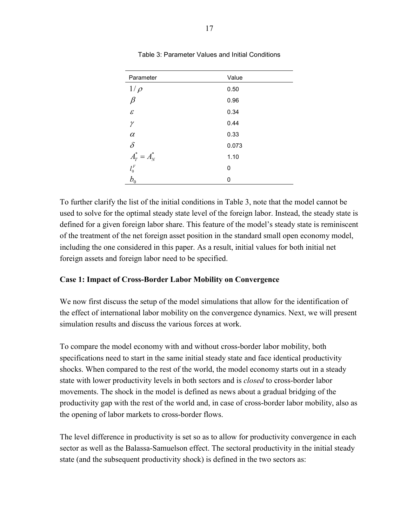| Parameter                    | Value |
|------------------------------|-------|
| $1/\rho$                     | 0.50  |
| $\beta$                      | 0.96  |
| $\mathcal E$                 | 0.34  |
| γ                            | 0.44  |
| $\alpha$                     | 0.33  |
| $\delta$                     | 0.073 |
| $A_T^* = A_N^*$              | 1.10  |
| $l_0^{\cal F}$               | 0     |
| $b^{\vphantom{\dagger}}_{0}$ | 0     |

Table 3: Parameter Values and Initial Conditions

To further clarify the list of the initial conditions in Table 3, note that the model cannot be used to solve for the optimal steady state level of the foreign labor. Instead, the steady state is defined for a given foreign labor share. This feature of the model's steady state is reminiscent of the treatment of the net foreign asset position in the standard small open economy model, including the one considered in this paper. As a result, initial values for both initial net foreign assets and foreign labor need to be specified.

#### **Case 1: Impact of Cross-Border Labor Mobility on Convergence**

We now first discuss the setup of the model simulations that allow for the identification of the effect of international labor mobility on the convergence dynamics. Next, we will present simulation results and discuss the various forces at work.

To compare the model economy with and without cross-border labor mobility, both specifications need to start in the same initial steady state and face identical productivity shocks. When compared to the rest of the world, the model economy starts out in a steady state with lower productivity levels in both sectors and is *closed* to cross-border labor movements. The shock in the model is defined as news about a gradual bridging of the productivity gap with the rest of the world and, in case of cross-border labor mobility, also as the opening of labor markets to cross-border flows.

The level difference in productivity is set so as to allow for productivity convergence in each sector as well as the Balassa-Samuelson effect. The sectoral productivity in the initial steady state (and the subsequent productivity shock) is defined in the two sectors as: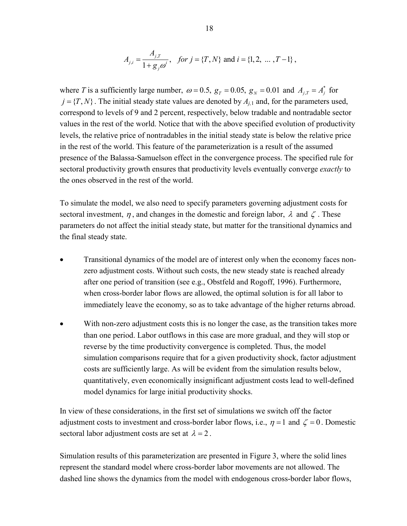$$
A_{j,i} = \frac{A_{j,T}}{1 + g_j \omega^i}, \quad \text{for } j = \{T, N\} \text{ and } i = \{1, 2, \dots, T - 1\} \,,
$$

where *T* is a sufficiently large number,  $\omega = 0.5$ ,  $g_T = 0.05$ ,  $g_N = 0.01$  and  $A_{j,T} = A_j^*$  for  $j = \{T, N\}$ . The initial steady state values are denoted by  $A_{i,1}$  and, for the parameters used, correspond to levels of 9 and 2 percent, respectively, below tradable and nontradable sector values in the rest of the world. Notice that with the above specified evolution of productivity levels, the relative price of nontradables in the initial steady state is below the relative price in the rest of the world. This feature of the parameterization is a result of the assumed presence of the Balassa-Samuelson effect in the convergence process. The specified rule for sectoral productivity growth ensures that productivity levels eventually converge *exactly* to the ones observed in the rest of the world.

To simulate the model, we also need to specify parameters governing adjustment costs for sectoral investment,  $\eta$ , and changes in the domestic and foreign labor,  $\lambda$  and  $\zeta$ . These parameters do not affect the initial steady state, but matter for the transitional dynamics and the final steady state.

- Transitional dynamics of the model are of interest only when the economy faces nonzero adjustment costs. Without such costs, the new steady state is reached already after one period of transition (see e.g., Obstfeld and Rogoff, 1996). Furthermore, when cross-border labor flows are allowed, the optimal solution is for all labor to immediately leave the economy, so as to take advantage of the higher returns abroad.
- With non-zero adjustment costs this is no longer the case, as the transition takes more than one period. Labor outflows in this case are more gradual, and they will stop or reverse by the time productivity convergence is completed. Thus, the model simulation comparisons require that for a given productivity shock, factor adjustment costs are sufficiently large. As will be evident from the simulation results below, quantitatively, even economically insignificant adjustment costs lead to well-defined model dynamics for large initial productivity shocks.

In view of these considerations, in the first set of simulations we switch off the factor adjustment costs to investment and cross-border labor flows, i.e.,  $\eta = 1$  and  $\zeta = 0$ . Domestic sectoral labor adjustment costs are set at  $\lambda = 2$ .

Simulation results of this parameterization are presented in Figure 3, where the solid lines represent the standard model where cross-border labor movements are not allowed. The dashed line shows the dynamics from the model with endogenous cross-border labor flows,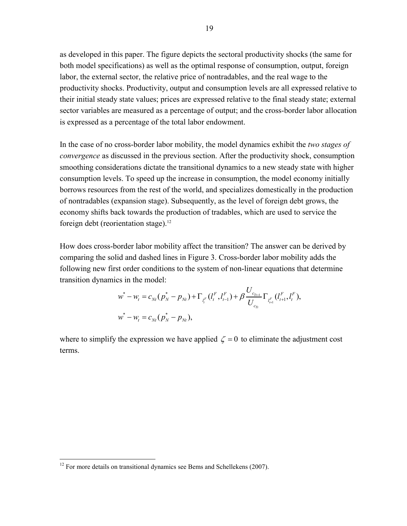as developed in this paper. The figure depicts the sectoral productivity shocks (the same for both model specifications) as well as the optimal response of consumption, output, foreign labor, the external sector, the relative price of nontradables, and the real wage to the productivity shocks. Productivity, output and consumption levels are all expressed relative to their initial steady state values; prices are expressed relative to the final steady state; external sector variables are measured as a percentage of output; and the cross-border labor allocation is expressed as a percentage of the total labor endowment.

In the case of no cross-border labor mobility, the model dynamics exhibit the *two stages of convergence* as discussed in the previous section. After the productivity shock, consumption smoothing considerations dictate the transitional dynamics to a new steady state with higher consumption levels. To speed up the increase in consumption, the model economy initially borrows resources from the rest of the world, and specializes domestically in the production of nontradables (expansion stage). Subsequently, as the level of foreign debt grows, the economy shifts back towards the production of tradables, which are used to service the foreign debt (reorientation stage).<sup>12</sup>

How does cross-border labor mobility affect the transition? The answer can be derived by comparing the solid and dashed lines in Figure 3. Cross-border labor mobility adds the following new first order conditions to the system of non-linear equations that determine transition dynamics in the model:

$$
w^* - w_t = c_{Nt} (p_N^* - p_{Nt}) + \Gamma_{l_t^F} (l_t^F, l_{t-1}^F) + \beta \frac{U_{c_{T_{t+1}}}}{U_{c_{T_t}}} \Gamma_{l_{t+1}^F} (l_{t+1}^F, l_t^F),
$$
  

$$
w^* - w_t = c_{N_t} (p_N^* - p_{N_t}),
$$

 $\mathbf{r}$   $\mathbf{r}$ 

where to simplify the expression we have applied  $\zeta = 0$  to eliminate the adjustment cost terms.

<u>.</u>

 $12$  For more details on transitional dynamics see Bems and Schellekens (2007).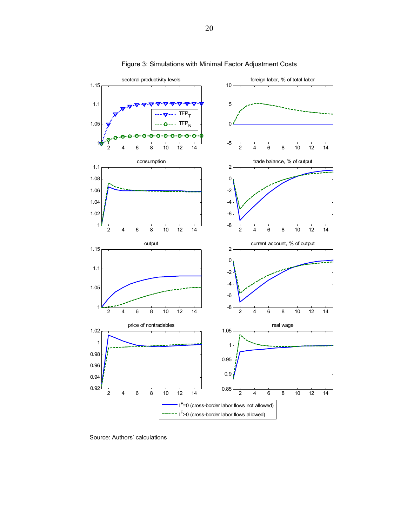

Figure 3: Simulations with Minimal Factor Adjustment Costs

Source: Authors' calculations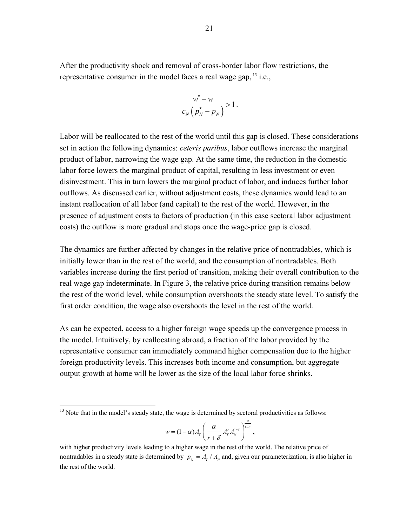After the productivity shock and removal of cross-border labor flow restrictions, the representative consumer in the model faces a real wage gap,  $^{13}$  i.e.,

$$
\frac{w^*-w}{c_N\left(p_N^*-p_N\right)}>1.
$$

Labor will be reallocated to the rest of the world until this gap is closed. These considerations set in action the following dynamics: *ceteris paribus*, labor outflows increase the marginal product of labor, narrowing the wage gap. At the same time, the reduction in the domestic labor force lowers the marginal product of capital, resulting in less investment or even disinvestment. This in turn lowers the marginal product of labor, and induces further labor outflows. As discussed earlier, without adjustment costs, these dynamics would lead to an instant reallocation of all labor (and capital) to the rest of the world. However, in the presence of adjustment costs to factors of production (in this case sectoral labor adjustment costs) the outflow is more gradual and stops once the wage-price gap is closed.

The dynamics are further affected by changes in the relative price of nontradables, which is initially lower than in the rest of the world, and the consumption of nontradables. Both variables increase during the first period of transition, making their overall contribution to the real wage gap indeterminate. In Figure 3, the relative price during transition remains below the rest of the world level, while consumption overshoots the steady state level. To satisfy the first order condition, the wage also overshoots the level in the rest of the world.

As can be expected, access to a higher foreign wage speeds up the convergence process in the model. Intuitively, by reallocating abroad, a fraction of the labor provided by the representative consumer can immediately command higher compensation due to the higher foreign productivity levels. This increases both income and consumption, but aggregate output growth at home will be lower as the size of the local labor force shrinks.

 $\overline{a}$ 

$$
w=(1-\alpha)A_r\left(\frac{\alpha}{r+\delta}A_r^{\gamma}A_{N}^{1-\gamma}\right)^{\frac{\alpha}{1-\alpha}},
$$

 $13$  Note that in the model's steady state, the wage is determined by sectoral productivities as follows:

with higher productivity levels leading to a higher wage in the rest of the world. The relative price of nontradables in a steady state is determined by  $p_N = A_T / A_N$  and, given our parameterization, is also higher in the rest of the world.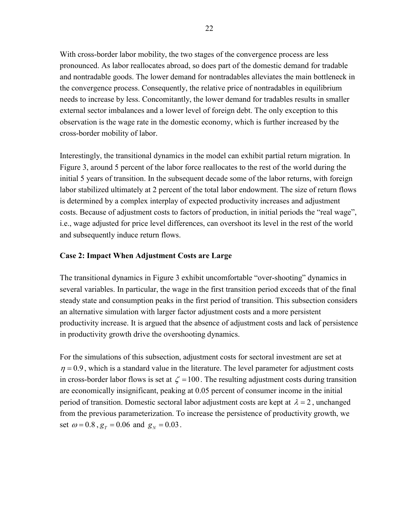With cross-border labor mobility, the two stages of the convergence process are less pronounced. As labor reallocates abroad, so does part of the domestic demand for tradable and nontradable goods. The lower demand for nontradables alleviates the main bottleneck in the convergence process. Consequently, the relative price of nontradables in equilibrium needs to increase by less. Concomitantly, the lower demand for tradables results in smaller external sector imbalances and a lower level of foreign debt. The only exception to this observation is the wage rate in the domestic economy, which is further increased by the cross-border mobility of labor.

Interestingly, the transitional dynamics in the model can exhibit partial return migration. In Figure 3, around 5 percent of the labor force reallocates to the rest of the world during the initial 5 years of transition. In the subsequent decade some of the labor returns, with foreign labor stabilized ultimately at 2 percent of the total labor endowment. The size of return flows is determined by a complex interplay of expected productivity increases and adjustment costs. Because of adjustment costs to factors of production, in initial periods the "real wage", i.e., wage adjusted for price level differences, can overshoot its level in the rest of the world and subsequently induce return flows.

#### **Case 2: Impact When Adjustment Costs are Large**

The transitional dynamics in Figure 3 exhibit uncomfortable "over-shooting" dynamics in several variables. In particular, the wage in the first transition period exceeds that of the final steady state and consumption peaks in the first period of transition. This subsection considers an alternative simulation with larger factor adjustment costs and a more persistent productivity increase. It is argued that the absence of adjustment costs and lack of persistence in productivity growth drive the overshooting dynamics.

For the simulations of this subsection, adjustment costs for sectoral investment are set at  $\eta = 0.9$ , which is a standard value in the literature. The level parameter for adjustment costs in cross-border labor flows is set at  $\zeta = 100$ . The resulting adjustment costs during transition are economically insignificant, peaking at 0.05 percent of consumer income in the initial period of transition. Domestic sectoral labor adjustment costs are kept at  $\lambda = 2$ , unchanged from the previous parameterization. To increase the persistence of productivity growth, we set  $\omega = 0.8$ ,  $g_T = 0.06$  and  $g_N = 0.03$ .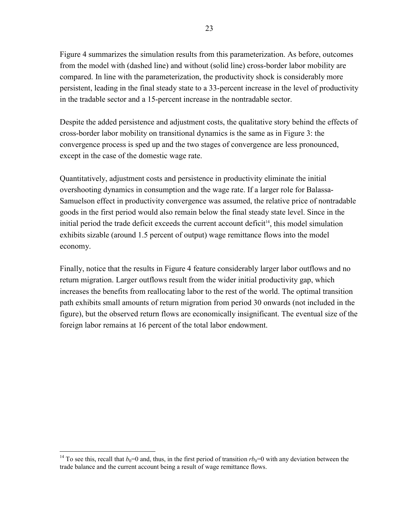Figure 4 summarizes the simulation results from this parameterization. As before, outcomes from the model with (dashed line) and without (solid line) cross-border labor mobility are compared. In line with the parameterization, the productivity shock is considerably more persistent, leading in the final steady state to a 33-percent increase in the level of productivity in the tradable sector and a 15-percent increase in the nontradable sector.

Despite the added persistence and adjustment costs, the qualitative story behind the effects of cross-border labor mobility on transitional dynamics is the same as in Figure 3: the convergence process is sped up and the two stages of convergence are less pronounced, except in the case of the domestic wage rate.

Quantitatively, adjustment costs and persistence in productivity eliminate the initial overshooting dynamics in consumption and the wage rate. If a larger role for Balassa-Samuelson effect in productivity convergence was assumed, the relative price of nontradable goods in the first period would also remain below the final steady state level. Since in the initial period the trade deficit exceeds the current account deficit<sup>14</sup>, this model simulation exhibits sizable (around 1.5 percent of output) wage remittance flows into the model economy.

Finally, notice that the results in Figure 4 feature considerably larger labor outflows and no return migration. Larger outflows result from the wider initial productivity gap, which increases the benefits from reallocating labor to the rest of the world. The optimal transition path exhibits small amounts of return migration from period 30 onwards (not included in the figure), but the observed return flows are economically insignificant. The eventual size of the foreign labor remains at 16 percent of the total labor endowment.

 $\overline{a}$ 

<sup>&</sup>lt;sup>14</sup> To see this, recall that  $b_0=0$  and, thus, in the first period of transition  $rb_0=0$  with any deviation between the trade balance and the current account being a result of wage remittance flows.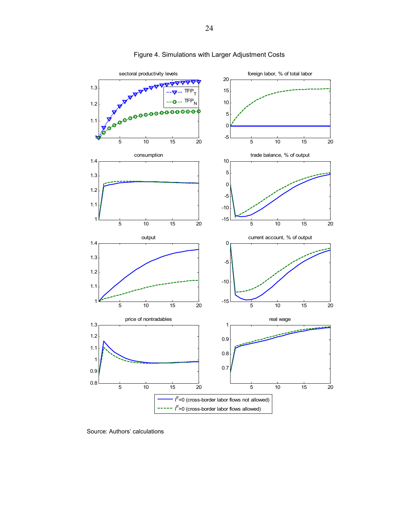

#### Figure 4. Simulations with Larger Adjustment Costs

Source: Authors' calculations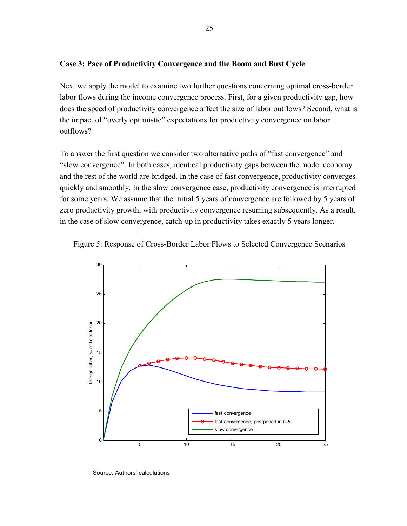#### **Case 3: Pace of Productivity Convergence and the Boom and Bust Cycle**

Next we apply the model to examine two further questions concerning optimal cross-border labor flows during the income convergence process. First, for a given productivity gap, how does the speed of productivity convergence affect the size of labor outflows? Second, what is the impact of "overly optimistic" expectations for productivity convergence on labor outflows?

To answer the first question we consider two alternative paths of "fast convergence" and "slow convergence". In both cases, identical productivity gaps between the model economy and the rest of the world are bridged. In the case of fast convergence, productivity converges quickly and smoothly. In the slow convergence case, productivity convergence is interrupted for some years. We assume that the initial 5 years of convergence are followed by 5 years of zero productivity growth, with productivity convergence resuming subsequently. As a result, in the case of slow convergence, catch-up in productivity takes exactly 5 years longer.





Source: Authors' calculations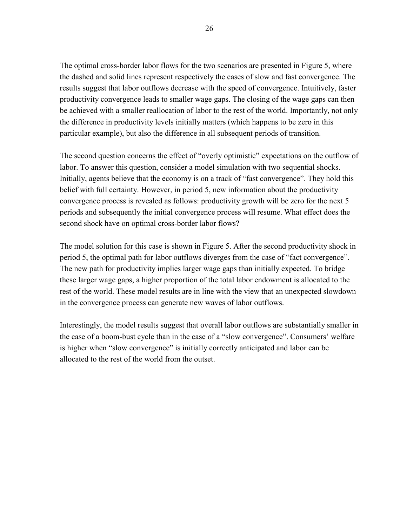The optimal cross-border labor flows for the two scenarios are presented in Figure 5, where the dashed and solid lines represent respectively the cases of slow and fast convergence. The results suggest that labor outflows decrease with the speed of convergence. Intuitively, faster productivity convergence leads to smaller wage gaps. The closing of the wage gaps can then be achieved with a smaller reallocation of labor to the rest of the world. Importantly, not only the difference in productivity levels initially matters (which happens to be zero in this particular example), but also the difference in all subsequent periods of transition.

The second question concerns the effect of "overly optimistic" expectations on the outflow of labor. To answer this question, consider a model simulation with two sequential shocks. Initially, agents believe that the economy is on a track of "fast convergence". They hold this belief with full certainty. However, in period 5, new information about the productivity convergence process is revealed as follows: productivity growth will be zero for the next 5 periods and subsequently the initial convergence process will resume. What effect does the second shock have on optimal cross-border labor flows?

The model solution for this case is shown in Figure 5. After the second productivity shock in period 5, the optimal path for labor outflows diverges from the case of "fact convergence". The new path for productivity implies larger wage gaps than initially expected. To bridge these larger wage gaps, a higher proportion of the total labor endowment is allocated to the rest of the world. These model results are in line with the view that an unexpected slowdown in the convergence process can generate new waves of labor outflows.

Interestingly, the model results suggest that overall labor outflows are substantially smaller in the case of a boom-bust cycle than in the case of a "slow convergence". Consumers' welfare is higher when "slow convergence" is initially correctly anticipated and labor can be allocated to the rest of the world from the outset.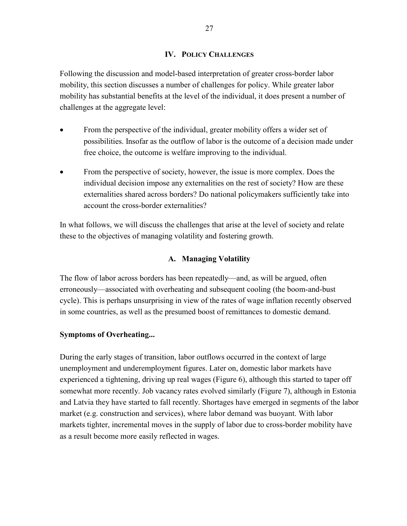#### **IV. POLICY CHALLENGES**

Following the discussion and model-based interpretation of greater cross-border labor mobility, this section discusses a number of challenges for policy. While greater labor mobility has substantial benefits at the level of the individual, it does present a number of challenges at the aggregate level:

- From the perspective of the individual, greater mobility offers a wider set of possibilities. Insofar as the outflow of labor is the outcome of a decision made under free choice, the outcome is welfare improving to the individual.
- From the perspective of society, however, the issue is more complex. Does the individual decision impose any externalities on the rest of society? How are these externalities shared across borders? Do national policymakers sufficiently take into account the cross-border externalities?

In what follows, we will discuss the challenges that arise at the level of society and relate these to the objectives of managing volatility and fostering growth.

#### **A. Managing Volatility**

The flow of labor across borders has been repeatedly—and, as will be argued, often erroneously—associated with overheating and subsequent cooling (the boom-and-bust cycle). This is perhaps unsurprising in view of the rates of wage inflation recently observed in some countries, as well as the presumed boost of remittances to domestic demand.

#### **Symptoms of Overheating...**

During the early stages of transition, labor outflows occurred in the context of large unemployment and underemployment figures. Later on, domestic labor markets have experienced a tightening, driving up real wages (Figure 6), although this started to taper off somewhat more recently. Job vacancy rates evolved similarly (Figure 7), although in Estonia and Latvia they have started to fall recently. Shortages have emerged in segments of the labor market (e.g. construction and services), where labor demand was buoyant. With labor markets tighter, incremental moves in the supply of labor due to cross-border mobility have as a result become more easily reflected in wages.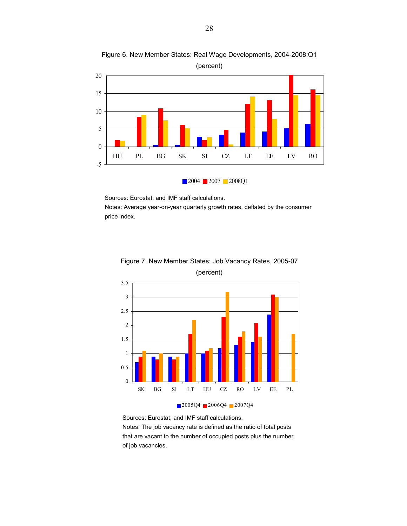

Figure 6. New Member States: Real Wage Developments, 2004-2008:Q1 (percent)

Sources: Eurostat; and IMF staff calculations.

Notes: Average year-on-year quarterly growth rates, deflated by the consumer price index.



Figure 7. New Member States: Job Vacancy Rates, 2005-07 (percent)



Sources: Eurostat; and IMF staff calculations.

Notes: The job vacancy rate is defined as the ratio of total posts that are vacant to the number of occupied posts plus the number of job vacancies.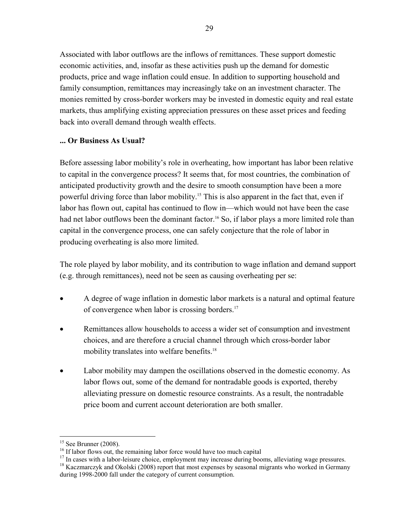Associated with labor outflows are the inflows of remittances. These support domestic economic activities, and, insofar as these activities push up the demand for domestic products, price and wage inflation could ensue. In addition to supporting household and family consumption, remittances may increasingly take on an investment character. The monies remitted by cross-border workers may be invested in domestic equity and real estate markets, thus amplifying existing appreciation pressures on these asset prices and feeding back into overall demand through wealth effects.

#### **... Or Business As Usual?**

Before assessing labor mobility's role in overheating, how important has labor been relative to capital in the convergence process? It seems that, for most countries, the combination of anticipated productivity growth and the desire to smooth consumption have been a more powerful driving force than labor mobility.<sup>15</sup> This is also apparent in the fact that, even if labor has flown out, capital has continued to flow in—which would not have been the case had net labor outflows been the dominant factor.<sup>16</sup> So, if labor plays a more limited role than capital in the convergence process, one can safely conjecture that the role of labor in producing overheating is also more limited.

The role played by labor mobility, and its contribution to wage inflation and demand support (e.g. through remittances), need not be seen as causing overheating per se:

- A degree of wage inflation in domestic labor markets is a natural and optimal feature of convergence when labor is crossing borders.<sup>17</sup>
- Remittances allow households to access a wider set of consumption and investment choices, and are therefore a crucial channel through which cross-border labor mobility translates into welfare benefits.<sup>18</sup>
- Labor mobility may dampen the oscillations observed in the domestic economy. As labor flows out, some of the demand for nontradable goods is exported, thereby alleviating pressure on domestic resource constraints. As a result, the nontradable price boom and current account deterioration are both smaller.

 $\overline{a}$ 

<sup>&</sup>lt;sup>15</sup> See Brunner (2008). <sup>16</sup> If labor flows out, the remaining labor force would have too much capital

<sup>&</sup>lt;sup>17</sup> In cases with a labor-leisure choice, employment may increase during booms, alleviating wage pressures.

<sup>&</sup>lt;sup>18</sup> Kaczmarczyk and Okolski (2008) report that most expenses by seasonal migrants who worked in Germany during 1998-2000 fall under the category of current consumption.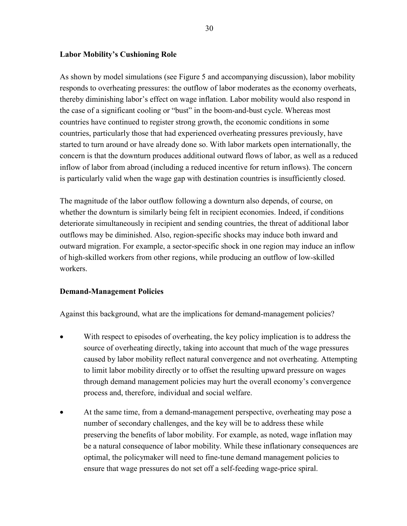#### **Labor Mobility's Cushioning Role**

As shown by model simulations (see Figure 5 and accompanying discussion), labor mobility responds to overheating pressures: the outflow of labor moderates as the economy overheats, thereby diminishing labor's effect on wage inflation. Labor mobility would also respond in the case of a significant cooling or "bust" in the boom-and-bust cycle. Whereas most countries have continued to register strong growth, the economic conditions in some countries, particularly those that had experienced overheating pressures previously, have started to turn around or have already done so. With labor markets open internationally, the concern is that the downturn produces additional outward flows of labor, as well as a reduced inflow of labor from abroad (including a reduced incentive for return inflows). The concern is particularly valid when the wage gap with destination countries is insufficiently closed.

The magnitude of the labor outflow following a downturn also depends, of course, on whether the downturn is similarly being felt in recipient economies. Indeed, if conditions deteriorate simultaneously in recipient and sending countries, the threat of additional labor outflows may be diminished. Also, region-specific shocks may induce both inward and outward migration. For example, a sector-specific shock in one region may induce an inflow of high-skilled workers from other regions, while producing an outflow of low-skilled workers.

#### **Demand-Management Policies**

Against this background, what are the implications for demand-management policies?

- With respect to episodes of overheating, the key policy implication is to address the source of overheating directly, taking into account that much of the wage pressures caused by labor mobility reflect natural convergence and not overheating. Attempting to limit labor mobility directly or to offset the resulting upward pressure on wages through demand management policies may hurt the overall economy's convergence process and, therefore, individual and social welfare.
- At the same time, from a demand-management perspective, overheating may pose a number of secondary challenges, and the key will be to address these while preserving the benefits of labor mobility. For example, as noted, wage inflation may be a natural consequence of labor mobility. While these inflationary consequences are optimal, the policymaker will need to fine-tune demand management policies to ensure that wage pressures do not set off a self-feeding wage-price spiral.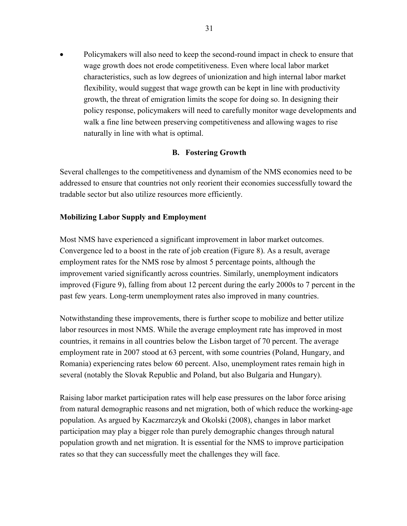• Policymakers will also need to keep the second-round impact in check to ensure that wage growth does not erode competitiveness. Even where local labor market characteristics, such as low degrees of unionization and high internal labor market flexibility, would suggest that wage growth can be kept in line with productivity growth, the threat of emigration limits the scope for doing so. In designing their policy response, policymakers will need to carefully monitor wage developments and walk a fine line between preserving competitiveness and allowing wages to rise naturally in line with what is optimal.

#### **B. Fostering Growth**

Several challenges to the competitiveness and dynamism of the NMS economies need to be addressed to ensure that countries not only reorient their economies successfully toward the tradable sector but also utilize resources more efficiently.

#### **Mobilizing Labor Supply and Employment**

Most NMS have experienced a significant improvement in labor market outcomes. Convergence led to a boost in the rate of job creation (Figure 8). As a result, average employment rates for the NMS rose by almost 5 percentage points, although the improvement varied significantly across countries. Similarly, unemployment indicators improved (Figure 9), falling from about 12 percent during the early 2000s to 7 percent in the past few years. Long-term unemployment rates also improved in many countries.

Notwithstanding these improvements, there is further scope to mobilize and better utilize labor resources in most NMS. While the average employment rate has improved in most countries, it remains in all countries below the Lisbon target of 70 percent. The average employment rate in 2007 stood at 63 percent, with some countries (Poland, Hungary, and Romania) experiencing rates below 60 percent. Also, unemployment rates remain high in several (notably the Slovak Republic and Poland, but also Bulgaria and Hungary).

Raising labor market participation rates will help ease pressures on the labor force arising from natural demographic reasons and net migration, both of which reduce the working-age population. As argued by Kaczmarczyk and Okolski (2008), changes in labor market participation may play a bigger role than purely demographic changes through natural population growth and net migration. It is essential for the NMS to improve participation rates so that they can successfully meet the challenges they will face.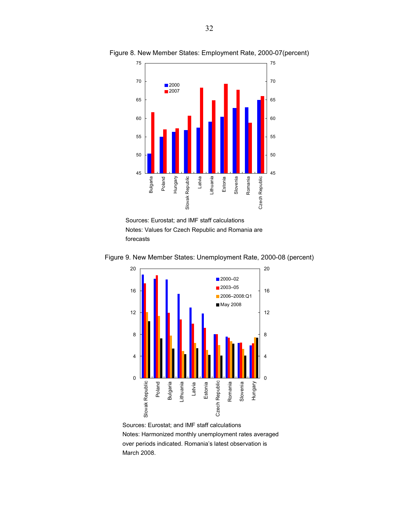

Figure 8. New Member States: Employment Rate, 2000-07(percent)





Figure 9. New Member States: Unemployment Rate, 2000-08 (percent)

Sources: Eurostat; and IMF staff calculations Notes: Harmonized monthly unemployment rates averaged over periods indicated. Romania's latest observation is March 2008.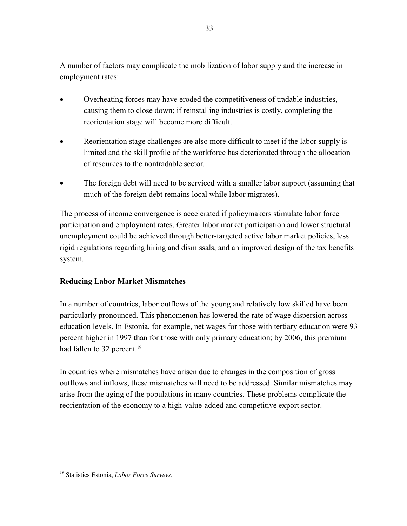A number of factors may complicate the mobilization of labor supply and the increase in employment rates:

- Overheating forces may have eroded the competitiveness of tradable industries, causing them to close down; if reinstalling industries is costly, completing the reorientation stage will become more difficult.
- Reorientation stage challenges are also more difficult to meet if the labor supply is limited and the skill profile of the workforce has deteriorated through the allocation of resources to the nontradable sector.
- The foreign debt will need to be serviced with a smaller labor support (assuming that much of the foreign debt remains local while labor migrates).

The process of income convergence is accelerated if policymakers stimulate labor force participation and employment rates. Greater labor market participation and lower structural unemployment could be achieved through better-targeted active labor market policies, less rigid regulations regarding hiring and dismissals, and an improved design of the tax benefits system.

### **Reducing Labor Market Mismatches**

In a number of countries, labor outflows of the young and relatively low skilled have been particularly pronounced. This phenomenon has lowered the rate of wage dispersion across education levels. In Estonia, for example, net wages for those with tertiary education were 93 percent higher in 1997 than for those with only primary education; by 2006, this premium had fallen to 32 percent.<sup>19</sup>

In countries where mismatches have arisen due to changes in the composition of gross outflows and inflows, these mismatches will need to be addressed. Similar mismatches may arise from the aging of the populations in many countries. These problems complicate the reorientation of the economy to a high-value-added and competitive export sector.

<sup>&</sup>lt;u>.</u> 19 Statistics Estonia, *Labor Force Surveys*.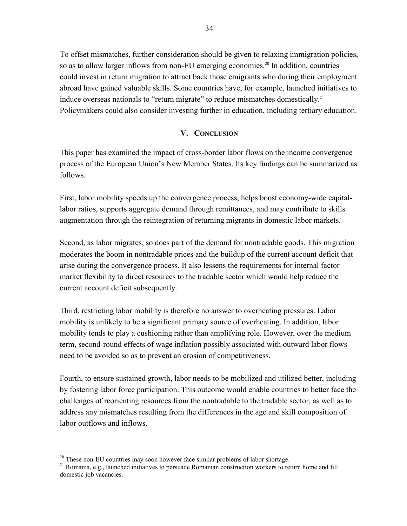To offset mismatches, further consideration should be given to relaxing immigration policies, so as to allow larger inflows from non-EU emerging economies.<sup>20</sup> In addition, countries could invest in return migration to attract back those emigrants who during their employment abroad have gained valuable skills. Some countries have, for example, launched initiatives to induce overseas nationals to "return migrate" to reduce mismatches domestically.<sup>21</sup> Policymakers could also consider investing further in education, including tertiary education.

#### **V. CONCLUSION**

This paper has examined the impact of cross-border labor flows on the income convergence process of the European Union's New Member States. Its key findings can be summarized as follows.

First, labor mobility speeds up the convergence process, helps boost economy-wide capitallabor ratios, supports aggregate demand through remittances, and may contribute to skills augmentation through the reintegration of returning migrants in domestic labor markets.

Second, as labor migrates, so does part of the demand for nontradable goods. This migration moderates the boom in nontradable prices and the buildup of the current account deficit that arise during the convergence process. It also lessens the requirements for internal factor market flexibility to direct resources to the tradable sector which would help reduce the current account deficit subsequently.

Third, restricting labor mobility is therefore no answer to overheating pressures. Labor mobility is unlikely to be a significant primary source of overheating. In addition, labor mobility tends to play a cushioning rather than amplifying role. However, over the medium term, second-round effects of wage inflation possibly associated with outward labor flows need to be avoided so as to prevent an erosion of competitiveness.

Fourth, to ensure sustained growth, labor needs to be mobilized and utilized better, including by fostering labor force participation. This outcome would enable countries to better face the challenges of reorienting resources from the nontradable to the tradable sector, as well as to address any mismatches resulting from the differences in the age and skill composition of labor outflows and inflows.

<sup>&</sup>lt;sup>20</sup> These non-EU countries may soon however face similar problems of labor shortage.

<sup>21</sup> Romania, e.g., launched initiatives to persuade Romanian construction workers to return home and fill domestic job vacancies.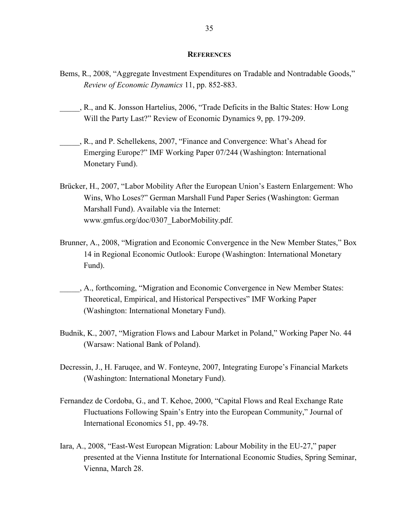#### **REFERENCES**

- Bems, R., 2008, "Aggregate Investment Expenditures on Tradable and Nontradable Goods," *Review of Economic Dynamics* 11, pp. 852-883.
- \_\_\_\_\_, R., and K. Jonsson Hartelius, 2006, "Trade Deficits in the Baltic States: How Long Will the Party Last?" Review of Economic Dynamics 9, pp. 179-209.
- \_\_\_\_\_, R., and P. Schellekens, 2007, "Finance and Convergence: What's Ahead for Emerging Europe?" IMF Working Paper 07/244 (Washington: International Monetary Fund).
- Brücker, H., 2007, "Labor Mobility After the European Union's Eastern Enlargement: Who Wins, Who Loses?" German Marshall Fund Paper Series (Washington: German Marshall Fund). Available via the Internet: www.gmfus.org/doc/0307\_LaborMobility.pdf.
- Brunner, A., 2008, "Migration and Economic Convergence in the New Member States," Box 14 in Regional Economic Outlook: Europe (Washington: International Monetary Fund).
- \_\_\_\_\_, A., forthcoming, "Migration and Economic Convergence in New Member States: Theoretical, Empirical, and Historical Perspectives" IMF Working Paper (Washington: International Monetary Fund).
- Budnik, K., 2007, "Migration Flows and Labour Market in Poland," Working Paper No. 44 (Warsaw: National Bank of Poland).
- Decressin, J., H. Faruqee, and W. Fonteyne, 2007, Integrating Europe's Financial Markets (Washington: International Monetary Fund).
- Fernandez de Cordoba, G., and T. Kehoe, 2000, "Capital Flows and Real Exchange Rate Fluctuations Following Spain's Entry into the European Community," Journal of International Economics 51, pp. 49-78.
- Iara, A., 2008, "East-West European Migration: Labour Mobility in the EU-27," paper presented at the Vienna Institute for International Economic Studies, Spring Seminar, Vienna, March 28.